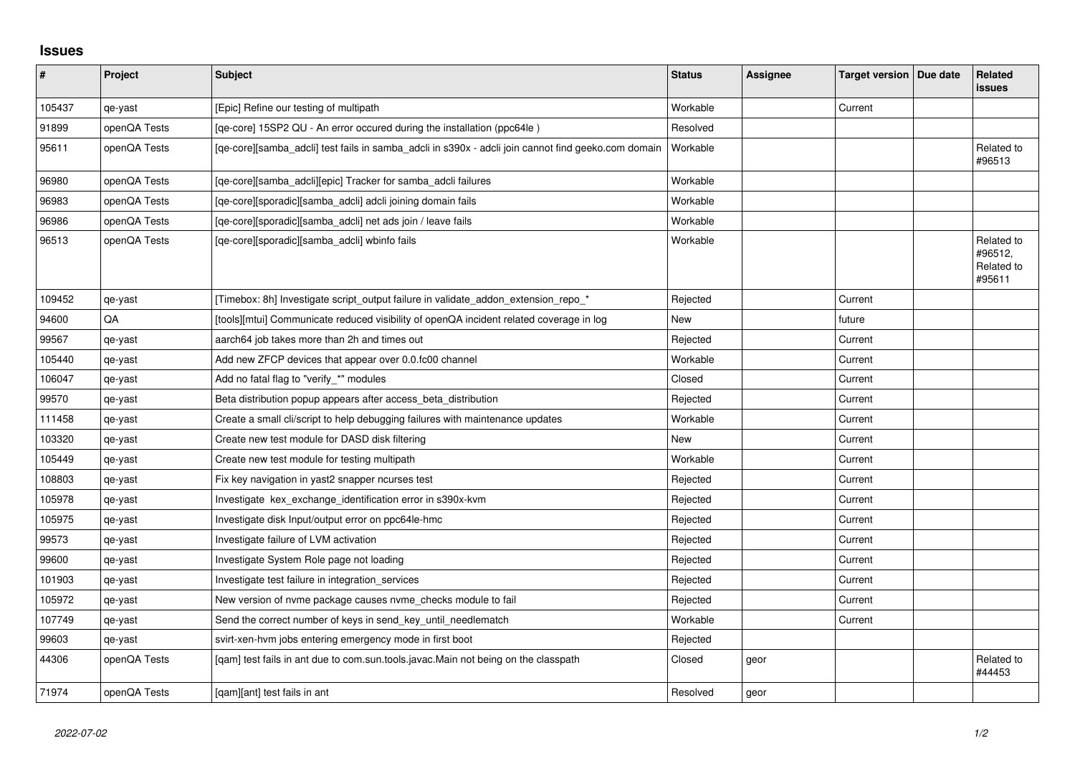## **Issues**

| $\vert$ # | Project      | Subject                                                                                             | <b>Status</b> | <b>Assignee</b> | Target version   Due date | Related<br>issues                             |
|-----------|--------------|-----------------------------------------------------------------------------------------------------|---------------|-----------------|---------------------------|-----------------------------------------------|
| 105437    | qe-yast      | [Epic] Refine our testing of multipath                                                              | Workable      |                 | Current                   |                                               |
| 91899     | openQA Tests | [qe-core] 15SP2 QU - An error occured during the installation (ppc64le)                             | Resolved      |                 |                           |                                               |
| 95611     | openQA Tests | [qe-core][samba_adcli] test fails in samba_adcli in s390x - adcli join cannot find geeko.com domain | Workable      |                 |                           | Related to<br>#96513                          |
| 96980     | openQA Tests | [qe-core][samba_adcli][epic] Tracker for samba_adcli failures                                       | Workable      |                 |                           |                                               |
| 96983     | openQA Tests | [qe-core][sporadic][samba_adcli] adcli joining domain fails                                         | Workable      |                 |                           |                                               |
| 96986     | openQA Tests | [qe-core][sporadic][samba_adcli] net ads join / leave fails                                         | Workable      |                 |                           |                                               |
| 96513     | openQA Tests | [qe-core][sporadic][samba_adcli] wbinfo fails                                                       | Workable      |                 |                           | Related to<br>#96512,<br>Related to<br>#95611 |
| 109452    | qe-yast      | [Timebox: 8h] Investigate script_output failure in validate_addon_extension_repo_*                  | Rejected      |                 | Current                   |                                               |
| 94600     | QA           | [tools][mtui] Communicate reduced visibility of openQA incident related coverage in log             | New           |                 | future                    |                                               |
| 99567     | qe-yast      | aarch64 job takes more than 2h and times out                                                        | Rejected      |                 | Current                   |                                               |
| 105440    | qe-yast      | Add new ZFCP devices that appear over 0.0.fc00 channel                                              | Workable      |                 | Current                   |                                               |
| 106047    | qe-yast      | Add no fatal flag to "verify_*" modules                                                             | Closed        |                 | Current                   |                                               |
| 99570     | qe-yast      | Beta distribution popup appears after access_beta_distribution                                      | Rejected      |                 | Current                   |                                               |
| 111458    | qe-yast      | Create a small cli/script to help debugging failures with maintenance updates                       | Workable      |                 | Current                   |                                               |
| 103320    | qe-yast      | Create new test module for DASD disk filtering                                                      | <b>New</b>    |                 | Current                   |                                               |
| 105449    | qe-yast      | Create new test module for testing multipath                                                        | Workable      |                 | Current                   |                                               |
| 108803    | qe-yast      | Fix key navigation in yast2 snapper ncurses test                                                    | Rejected      |                 | Current                   |                                               |
| 105978    | qe-yast      | Investigate kex_exchange_identification error in s390x-kvm                                          | Rejected      |                 | Current                   |                                               |
| 105975    | qe-yast      | Investigate disk Input/output error on ppc64le-hmc                                                  | Rejected      |                 | Current                   |                                               |
| 99573     | qe-yast      | Investigate failure of LVM activation                                                               | Rejected      |                 | Current                   |                                               |
| 99600     | qe-yast      | Investigate System Role page not loading                                                            | Rejected      |                 | Current                   |                                               |
| 101903    | qe-yast      | Investigate test failure in integration services                                                    | Rejected      |                 | Current                   |                                               |
| 105972    | qe-yast      | New version of nyme package causes nyme checks module to fail                                       | Rejected      |                 | Current                   |                                               |
| 107749    | qe-yast      | Send the correct number of keys in send_key_until_needlematch                                       | Workable      |                 | Current                   |                                               |
| 99603     | qe-yast      | svirt-xen-hvm jobs entering emergency mode in first boot                                            | Rejected      |                 |                           |                                               |
| 44306     | openQA Tests | [qam] test fails in ant due to com.sun.tools.javac.Main not being on the classpath                  | Closed        | geor            |                           | Related to<br>#44453                          |
| 71974     | openQA Tests | [gam][ant] test fails in ant                                                                        | Resolved      | geor            |                           |                                               |